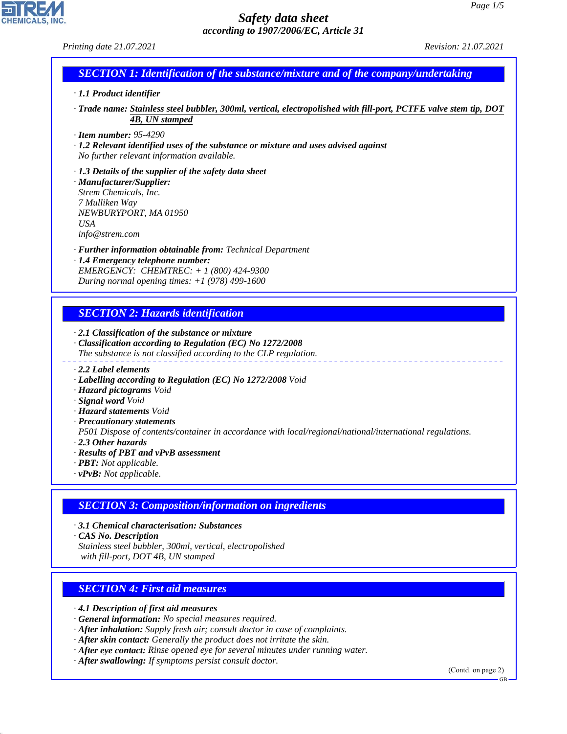## *Printing date 21.07.2021 Revision: 21.07.2021*

# *SECTION 1: Identification of the substance/mixture and of the company/undertaking*

### *· 1.1 Product identifier*

*· Trade name: Stainless steel bubbler, 300ml, vertical, electropolished with fill-port, PCTFE valve stem tip, DOT 4B, UN stamped*

#### *· Item number: 95-4290*

*· 1.2 Relevant identified uses of the substance or mixture and uses advised against No further relevant information available.*

## *· 1.3 Details of the supplier of the safety data sheet · Manufacturer/Supplier:*

*Strem Chemicals, Inc. 7 Mulliken Way NEWBURYPORT, MA 01950 USA info@strem.com*

- *· Further information obtainable from: Technical Department · 1.4 Emergency telephone number:*
- *EMERGENCY: CHEMTREC: + 1 (800) 424-9300 During normal opening times: +1 (978) 499-1600*

## *SECTION 2: Hazards identification*

- *· 2.1 Classification of the substance or mixture*
- *· Classification according to Regulation (EC) No 1272/2008 The substance is not classified according to the CLP regulation.*
- *· 2.2 Label elements*
- *· Labelling according to Regulation (EC) No 1272/2008 Void*
- *· Hazard pictograms Void*
- *· Signal word Void*
- *· Hazard statements Void*
- *· Precautionary statements*

*P501 Dispose of contents/container in accordance with local/regional/national/international regulations.*

*· 2.3 Other hazards*

44.1.1

- *· Results of PBT and vPvB assessment*
- *· PBT: Not applicable.*
- *· vPvB: Not applicable.*

# *SECTION 3: Composition/information on ingredients*

*· 3.1 Chemical characterisation: Substances*

*· CAS No. Description*

*Stainless steel bubbler, 300ml, vertical, electropolished with fill-port, DOT 4B, UN stamped*

## *SECTION 4: First aid measures*

*· 4.1 Description of first aid measures*

- *· General information: No special measures required.*
- *· After inhalation: Supply fresh air; consult doctor in case of complaints.*
- *· After skin contact: Generally the product does not irritate the skin.*
- *· After eye contact: Rinse opened eye for several minutes under running water.*
- *· After swallowing: If symptoms persist consult doctor.*

(Contd. on page 2)

GB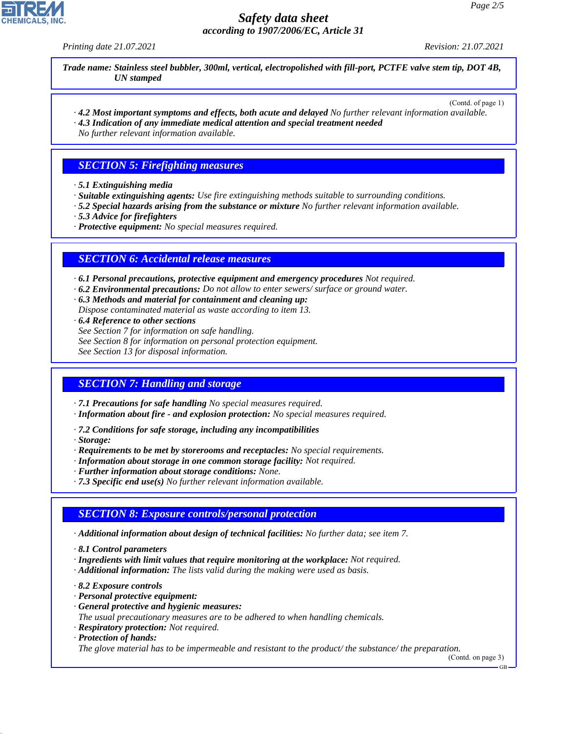*Printing date 21.07.2021 Revision: 21.07.2021*

*Trade name: Stainless steel bubbler, 300ml, vertical, electropolished with fill-port, PCTFE valve stem tip, DOT 4B, UN stamped*

(Contd. of page 1)

*· 4.2 Most important symptoms and effects, both acute and delayed No further relevant information available. · 4.3 Indication of any immediate medical attention and special treatment needed*

*No further relevant information available.*

# *SECTION 5: Firefighting measures*

- *· 5.1 Extinguishing media*
- *· Suitable extinguishing agents: Use fire extinguishing methods suitable to surrounding conditions.*
- *· 5.2 Special hazards arising from the substance or mixture No further relevant information available.*
- *· 5.3 Advice for firefighters*
- *· Protective equipment: No special measures required.*

# *SECTION 6: Accidental release measures*

*· 6.1 Personal precautions, protective equipment and emergency procedures Not required.*

- *· 6.2 Environmental precautions: Do not allow to enter sewers/ surface or ground water.*
- *· 6.3 Methods and material for containment and cleaning up:*

*Dispose contaminated material as waste according to item 13.*

- *· 6.4 Reference to other sections*
- *See Section 7 for information on safe handling.*
- *See Section 8 for information on personal protection equipment.*

*See Section 13 for disposal information.*

# *SECTION 7: Handling and storage*

*· 7.1 Precautions for safe handling No special measures required.*

- *· Information about fire and explosion protection: No special measures required.*
- *· 7.2 Conditions for safe storage, including any incompatibilities*
- *· Storage:*
- *· Requirements to be met by storerooms and receptacles: No special requirements.*
- *· Information about storage in one common storage facility: Not required.*
- *· Further information about storage conditions: None.*
- *· 7.3 Specific end use(s) No further relevant information available.*

# *SECTION 8: Exposure controls/personal protection*

- *· Additional information about design of technical facilities: No further data; see item 7.*
- *· 8.1 Control parameters*
- *· Ingredients with limit values that require monitoring at the workplace: Not required.*
- *· Additional information: The lists valid during the making were used as basis.*
- *· 8.2 Exposure controls*
- *· Personal protective equipment:*
- *· General protective and hygienic measures:*
- *The usual precautionary measures are to be adhered to when handling chemicals.*
- *· Respiratory protection: Not required.*
- *· Protection of hands:*

44.1.1

*The glove material has to be impermeable and resistant to the product/ the substance/ the preparation.*

(Contd. on page 3)

GB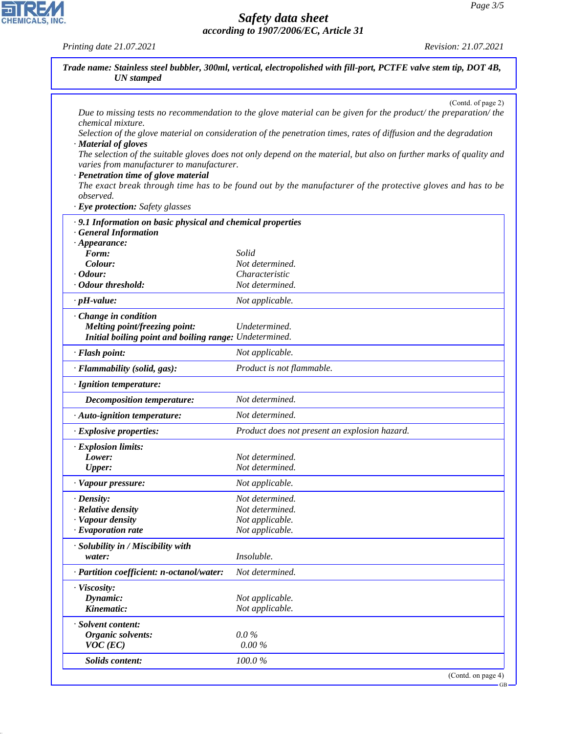GB

# *Safety data sheet according to 1907/2006/EC, Article 31*

*Printing date 21.07.2021 Revision: 21.07.2021*

CHEMICALS, INC.

44.1.1

| <b>UN</b> stamped                                                                                         |                                                                                                                                                                                                                                                            |
|-----------------------------------------------------------------------------------------------------------|------------------------------------------------------------------------------------------------------------------------------------------------------------------------------------------------------------------------------------------------------------|
| chemical mixture.                                                                                         | (Contd. of page 2)<br>Due to missing tests no recommendation to the glove material can be given for the product/ the preparation/ the<br>Selection of the glove material on consideration of the penetration times, rates of diffusion and the degradation |
| · Material of gloves<br>varies from manufacturer to manufacturer.<br>· Penetration time of glove material | The selection of the suitable gloves does not only depend on the material, but also on further marks of quality and                                                                                                                                        |
| observed.<br>· Eye protection: Safety glasses                                                             | The exact break through time has to be found out by the manufacturer of the protective gloves and has to be                                                                                                                                                |
| .9.1 Information on basic physical and chemical properties                                                |                                                                                                                                                                                                                                                            |
| <b>General Information</b>                                                                                |                                                                                                                                                                                                                                                            |
| $\cdot$ Appearance:                                                                                       |                                                                                                                                                                                                                                                            |
| Form:                                                                                                     | Solid                                                                                                                                                                                                                                                      |
| Colour:                                                                                                   | Not determined.                                                                                                                                                                                                                                            |
| $\cdot$ Odour:                                                                                            | Characteristic                                                                                                                                                                                                                                             |
| · Odour threshold:                                                                                        | Not determined.                                                                                                                                                                                                                                            |
| $\cdot$ pH-value:                                                                                         | Not applicable.                                                                                                                                                                                                                                            |
| Change in condition                                                                                       |                                                                                                                                                                                                                                                            |
| <b>Melting point/freezing point:</b>                                                                      | Undetermined.                                                                                                                                                                                                                                              |
| Initial boiling point and boiling range: Undetermined.                                                    |                                                                                                                                                                                                                                                            |
| · Flash point:                                                                                            | Not applicable.                                                                                                                                                                                                                                            |
| · Flammability (solid, gas):                                                                              | Product is not flammable.                                                                                                                                                                                                                                  |
| · Ignition temperature:                                                                                   |                                                                                                                                                                                                                                                            |
| <b>Decomposition temperature:</b>                                                                         | Not determined.                                                                                                                                                                                                                                            |
| · Auto-ignition temperature:                                                                              | Not determined.                                                                                                                                                                                                                                            |
| · Explosive properties:                                                                                   | Product does not present an explosion hazard.                                                                                                                                                                                                              |
| · Explosion limits:                                                                                       |                                                                                                                                                                                                                                                            |
| Lower:                                                                                                    | Not determined.                                                                                                                                                                                                                                            |
| <b>Upper:</b>                                                                                             | Not determined.                                                                                                                                                                                                                                            |
| · Vapour pressure:                                                                                        | Not applicable.                                                                                                                                                                                                                                            |
| $\cdot$ Density:                                                                                          | Not determined.                                                                                                                                                                                                                                            |
| · Relative density                                                                                        | Not determined.                                                                                                                                                                                                                                            |
| · Vapour density                                                                                          | Not applicable.                                                                                                                                                                                                                                            |
| · Evaporation rate                                                                                        | Not applicable.                                                                                                                                                                                                                                            |
| · Solubility in / Miscibility with                                                                        |                                                                                                                                                                                                                                                            |
| water:                                                                                                    | Insoluble.                                                                                                                                                                                                                                                 |
| · Partition coefficient: n-octanol/water:                                                                 | Not determined.                                                                                                                                                                                                                                            |
| · Viscosity:                                                                                              |                                                                                                                                                                                                                                                            |
| Dynamic:                                                                                                  | Not applicable.                                                                                                                                                                                                                                            |
| Kinematic:                                                                                                | Not applicable.                                                                                                                                                                                                                                            |
| · Solvent content:                                                                                        |                                                                                                                                                                                                                                                            |
| Organic solvents:                                                                                         | $0.0\%$                                                                                                                                                                                                                                                    |
| $VOC$ (EC)                                                                                                | $0.00\%$                                                                                                                                                                                                                                                   |
|                                                                                                           |                                                                                                                                                                                                                                                            |
| Solids content:                                                                                           | 100.0%                                                                                                                                                                                                                                                     |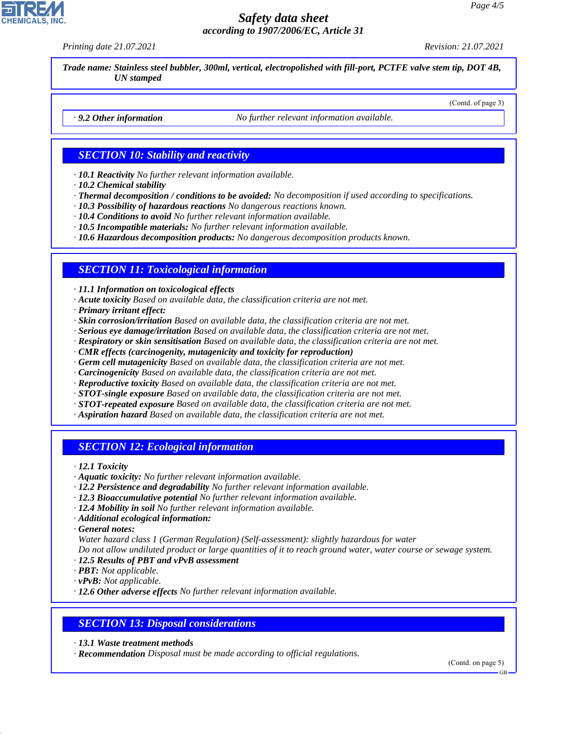*Printing date 21.07.2021 Revision: 21.07.2021*

(Contd. of page 3)

*Trade name: Stainless steel bubbler, 300ml, vertical, electropolished with fill-port, PCTFE valve stem tip, DOT 4B, UN stamped*

*· 9.2 Other information No further relevant information available.*

## *SECTION 10: Stability and reactivity*

*· 10.1 Reactivity No further relevant information available.*

- *· 10.2 Chemical stability*
- *· Thermal decomposition / conditions to be avoided: No decomposition if used according to specifications.*
- *· 10.3 Possibility of hazardous reactions No dangerous reactions known.*

*· 10.4 Conditions to avoid No further relevant information available.*

*· 10.5 Incompatible materials: No further relevant information available.*

*· 10.6 Hazardous decomposition products: No dangerous decomposition products known.*

## *SECTION 11: Toxicological information*

*· 11.1 Information on toxicological effects*

- *· Acute toxicity Based on available data, the classification criteria are not met.*
- *· Primary irritant effect:*
- *· Skin corrosion/irritation Based on available data, the classification criteria are not met.*
- *· Serious eye damage/irritation Based on available data, the classification criteria are not met.*
- *· Respiratory or skin sensitisation Based on available data, the classification criteria are not met.*
- *· CMR effects (carcinogenity, mutagenicity and toxicity for reproduction)*
- *· Germ cell mutagenicity Based on available data, the classification criteria are not met.*
- *· Carcinogenicity Based on available data, the classification criteria are not met.*
- *· Reproductive toxicity Based on available data, the classification criteria are not met.*
- *· STOT-single exposure Based on available data, the classification criteria are not met.*
- *· STOT-repeated exposure Based on available data, the classification criteria are not met.*
- *· Aspiration hazard Based on available data, the classification criteria are not met.*

### *SECTION 12: Ecological information*

*· 12.1 Toxicity*

- *· Aquatic toxicity: No further relevant information available.*
- *· 12.2 Persistence and degradability No further relevant information available.*
- *· 12.3 Bioaccumulative potential No further relevant information available.*
- *· 12.4 Mobility in soil No further relevant information available.*
- *· Additional ecological information:*

*· General notes:*

44.1.1

*Water hazard class 1 (German Regulation) (Self-assessment): slightly hazardous for water*

*Do not allow undiluted product or large quantities of it to reach ground water, water course or sewage system.*

- *· 12.5 Results of PBT and vPvB assessment*
- *· PBT: Not applicable.*
- *· vPvB: Not applicable.*

*· 12.6 Other adverse effects No further relevant information available.*

#### *SECTION 13: Disposal considerations*

*· 13.1 Waste treatment methods*

*· Recommendation Disposal must be made according to official regulations.*

(Contd. on page 5)